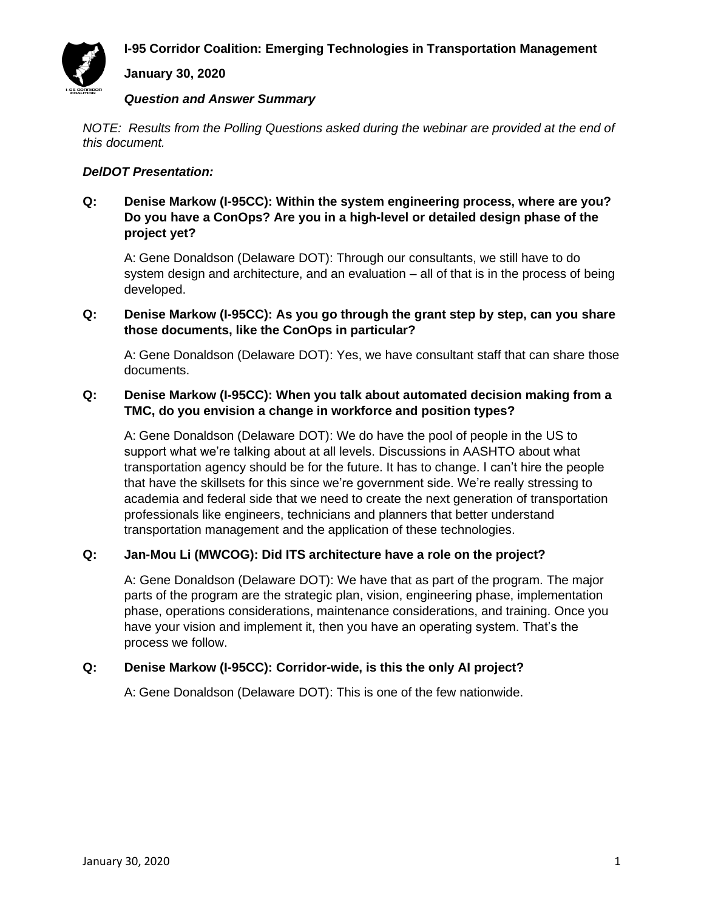**I-95 Corridor Coalition: Emerging Technologies in Transportation Management**



#### **January 30, 2020**

#### *Question and Answer Summary*

*NOTE: Results from the Polling Questions asked during the webinar are provided at the end of this document.*

### *DelDOT Presentation:*

### **Q: Denise Markow (I-95CC): Within the system engineering process, where are you? Do you have a ConOps? Are you in a high-level or detailed design phase of the project yet?**

A: Gene Donaldson (Delaware DOT): Through our consultants, we still have to do system design and architecture, and an evaluation – all of that is in the process of being developed.

### **Q: Denise Markow (I-95CC): As you go through the grant step by step, can you share those documents, like the ConOps in particular?**

A: Gene Donaldson (Delaware DOT): Yes, we have consultant staff that can share those documents.

# **Q: Denise Markow (I-95CC): When you talk about automated decision making from a TMC, do you envision a change in workforce and position types?**

A: Gene Donaldson (Delaware DOT): We do have the pool of people in the US to support what we're talking about at all levels. Discussions in AASHTO about what transportation agency should be for the future. It has to change. I can't hire the people that have the skillsets for this since we're government side. We're really stressing to academia and federal side that we need to create the next generation of transportation professionals like engineers, technicians and planners that better understand transportation management and the application of these technologies.

# **Q: Jan-Mou Li (MWCOG): Did ITS architecture have a role on the project?**

A: Gene Donaldson (Delaware DOT): We have that as part of the program. The major parts of the program are the strategic plan, vision, engineering phase, implementation phase, operations considerations, maintenance considerations, and training. Once you have your vision and implement it, then you have an operating system. That's the process we follow.

### **Q: Denise Markow (I-95CC): Corridor-wide, is this the only AI project?**

A: Gene Donaldson (Delaware DOT): This is one of the few nationwide.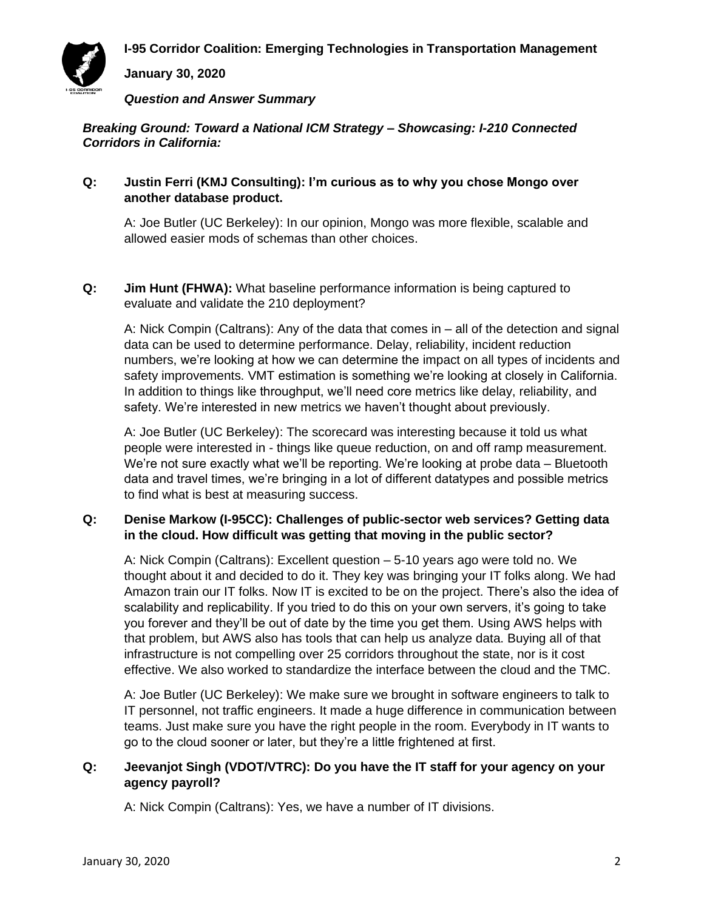**I-95 Corridor Coalition: Emerging Technologies in Transportation Management**



**January 30, 2020**

*Question and Answer Summary*

*Breaking Ground: Toward a National ICM Strategy – Showcasing: I-210 Connected Corridors in California:*

### **Q: Justin Ferri (KMJ Consulting): I'm curious as to why you chose Mongo over another database product.**

A: Joe Butler (UC Berkeley): In our opinion, Mongo was more flexible, scalable and allowed easier mods of schemas than other choices.

**Q: Jim Hunt (FHWA):** What baseline performance information is being captured to evaluate and validate the 210 deployment?

A: Nick Compin (Caltrans): Any of the data that comes in – all of the detection and signal data can be used to determine performance. Delay, reliability, incident reduction numbers, we're looking at how we can determine the impact on all types of incidents and safety improvements. VMT estimation is something we're looking at closely in California. In addition to things like throughput, we'll need core metrics like delay, reliability, and safety. We're interested in new metrics we haven't thought about previously.

A: Joe Butler (UC Berkeley): The scorecard was interesting because it told us what people were interested in - things like queue reduction, on and off ramp measurement. We're not sure exactly what we'll be reporting. We're looking at probe data – Bluetooth data and travel times, we're bringing in a lot of different datatypes and possible metrics to find what is best at measuring success.

## **Q: Denise Markow (I-95CC): Challenges of public-sector web services? Getting data in the cloud. How difficult was getting that moving in the public sector?**

A: Nick Compin (Caltrans): Excellent question – 5-10 years ago were told no. We thought about it and decided to do it. They key was bringing your IT folks along. We had Amazon train our IT folks. Now IT is excited to be on the project. There's also the idea of scalability and replicability. If you tried to do this on your own servers, it's going to take you forever and they'll be out of date by the time you get them. Using AWS helps with that problem, but AWS also has tools that can help us analyze data. Buying all of that infrastructure is not compelling over 25 corridors throughout the state, nor is it cost effective. We also worked to standardize the interface between the cloud and the TMC.

A: Joe Butler (UC Berkeley): We make sure we brought in software engineers to talk to IT personnel, not traffic engineers. It made a huge difference in communication between teams. Just make sure you have the right people in the room. Everybody in IT wants to go to the cloud sooner or later, but they're a little frightened at first.

### **Q: Jeevanjot Singh (VDOT/VTRC): Do you have the IT staff for your agency on your agency payroll?**

A: Nick Compin (Caltrans): Yes, we have a number of IT divisions.